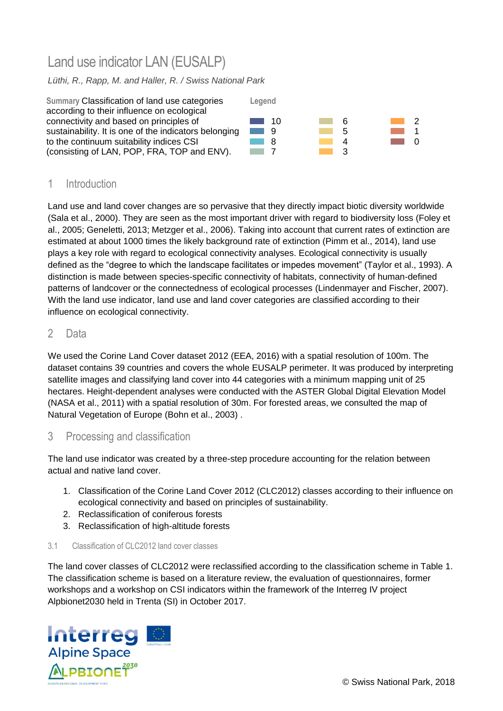# Land use indicator LAN (EUSALP)

# *Lüthi, R., Rapp, M. and Haller, R. / Swiss National Park*



# 1 Introduction

Land use and land cover changes are so pervasive that they directly impact biotic diversity worldwide (Sala et al., 2000). They are seen as the most important driver with regard to biodiversity loss (Foley et al., 2005; Geneletti, 2013; Metzger et al., 2006). Taking into account that current rates of extinction are estimated at about 1000 times the likely background rate of extinction (Pimm et al., 2014), land use plays a key role with regard to ecological connectivity analyses. Ecological connectivity is usually defined as the "degree to which the landscape facilitates or impedes movement" (Taylor et al., 1993). A distinction is made between species-specific connectivity of habitats, connectivity of human-defined patterns of landcover or the connectedness of ecological processes (Lindenmayer and Fischer, 2007). With the land use indicator, land use and land cover categories are classified according to their influence on ecological connectivity.

# 2 Data

We used the Corine Land Cover dataset 2012 (EEA, 2016) with a spatial resolution of 100m. The dataset contains 39 countries and covers the whole EUSALP perimeter. It was produced by interpreting satellite images and classifying land cover into 44 categories with a minimum mapping unit of 25 hectares. Height-dependent analyses were conducted with the ASTER Global Digital Elevation Model (NASA et al., 2011) with a spatial resolution of 30m. For forested areas, we consulted the map of Natural Vegetation of Europe (Bohn et al., 2003) .

# 3 Processing and classification

The land use indicator was created by a three-step procedure accounting for the relation between actual and native land cover.

- 1. Classification of the Corine Land Cover 2012 (CLC2012) classes according to their influence on ecological connectivity and based on principles of sustainability.
- 2. Reclassification of coniferous forests
- 3. Reclassification of high-altitude forests

### 3.1 Classification of CLC2012 land cover classes

The land cover classes of CLC2012 were reclassified according to the classification scheme in [Table 1.](#page-1-0) The classification scheme is based on a literature review, the evaluation of questionnaires, former workshops and a workshop on CSI indicators within the framework of the Interreg IV project Alpbionet2030 held in Trenta (SI) in October 2017.

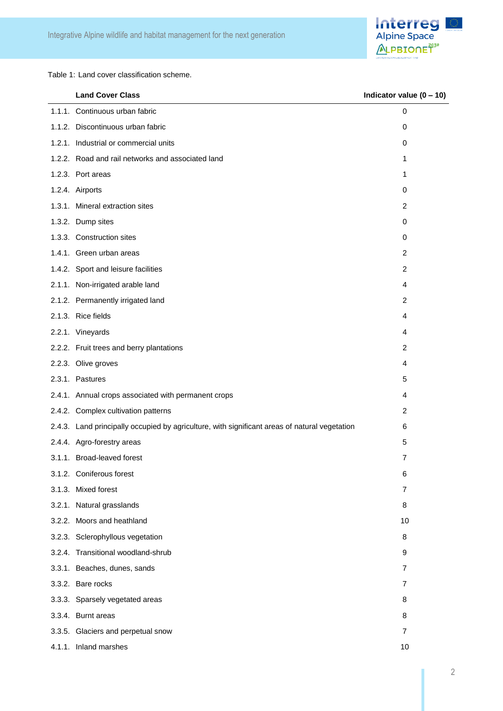

<span id="page-1-0"></span>Table 1: Land cover classification scheme.

| <b>Land Cover Class</b>                                                                       | Indicator value $(0 - 10)$ |
|-----------------------------------------------------------------------------------------------|----------------------------|
| 1.1.1. Continuous urban fabric                                                                | 0                          |
| 1.1.2. Discontinuous urban fabric                                                             | 0                          |
| 1.2.1. Industrial or commercial units                                                         | 0                          |
| 1.2.2. Road and rail networks and associated land                                             | 1                          |
| 1.2.3. Port areas                                                                             | 1                          |
| 1.2.4. Airports                                                                               | 0                          |
| 1.3.1. Mineral extraction sites                                                               | 2                          |
| 1.3.2. Dump sites                                                                             | 0                          |
| 1.3.3. Construction sites                                                                     | 0                          |
| 1.4.1. Green urban areas                                                                      | 2                          |
| 1.4.2. Sport and leisure facilities                                                           | 2                          |
| 2.1.1. Non-irrigated arable land                                                              | 4                          |
| 2.1.2. Permanently irrigated land                                                             | 2                          |
| 2.1.3. Rice fields                                                                            | 4                          |
| 2.2.1. Vineyards                                                                              | 4                          |
| 2.2.2. Fruit trees and berry plantations                                                      | 2                          |
| 2.2.3. Olive groves                                                                           | 4                          |
| 2.3.1. Pastures                                                                               | 5                          |
| 2.4.1. Annual crops associated with permanent crops                                           | 4                          |
| 2.4.2. Complex cultivation patterns                                                           | 2                          |
| 2.4.3. Land principally occupied by agriculture, with significant areas of natural vegetation | 6                          |
| 2.4.4. Agro-forestry areas                                                                    | 5                          |
| 3.1.1. Broad-leaved forest                                                                    | 7                          |
| 3.1.2. Coniferous forest                                                                      | 6                          |
| 3.1.3. Mixed forest                                                                           | $\overline{7}$             |
| 3.2.1. Natural grasslands                                                                     | 8                          |
| 3.2.2. Moors and heathland                                                                    | 10                         |
| 3.2.3. Sclerophyllous vegetation                                                              | 8                          |
| 3.2.4. Transitional woodland-shrub                                                            | 9                          |
| 3.3.1. Beaches, dunes, sands                                                                  | 7                          |
| 3.3.2. Bare rocks                                                                             | 7                          |
| 3.3.3. Sparsely vegetated areas                                                               | 8                          |
| 3.3.4. Burnt areas                                                                            | 8                          |
| 3.3.5. Glaciers and perpetual snow                                                            | $\overline{7}$             |
| 4.1.1. Inland marshes                                                                         | 10                         |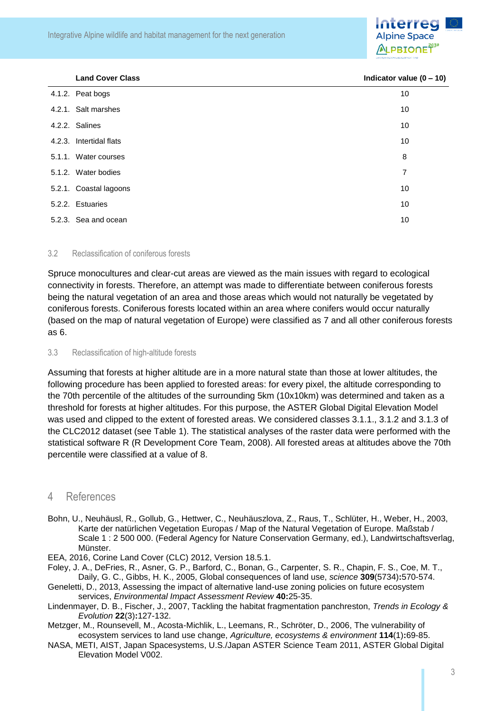Integrative Alpine wildlife and habitat management for the next generation



| <b>Land Cover Class</b> | Indicator v |
|-------------------------|-------------|
|                         |             |

| <b>Land Cover Class</b> | Indicator value $(0 - 10)$ |
|-------------------------|----------------------------|
| 4.1.2. Peat bogs        | 10                         |
| 4.2.1. Salt marshes     | 10                         |
| 4.2.2. Salines          | 10                         |
| 4.2.3. Intertidal flats | 10                         |
| 5.1.1. Water courses    | 8                          |
| 5.1.2. Water bodies     | 7                          |
| 5.2.1. Coastal lagoons  | 10                         |
| 5.2.2. Estuaries        | 10                         |
| 5.2.3. Sea and ocean    | 10                         |
|                         |                            |

#### 3.2 Reclassification of coniferous forests

Spruce monocultures and clear-cut areas are viewed as the main issues with regard to ecological connectivity in forests. Therefore, an attempt was made to differentiate between coniferous forests being the natural vegetation of an area and those areas which would not naturally be vegetated by coniferous forests. Coniferous forests located within an area where conifers would occur naturally (based on the map of natural vegetation of Europe) were classified as 7 and all other coniferous forests as 6.

#### 3.3 Reclassification of high-altitude forests

Assuming that forests at higher altitude are in a more natural state than those at lower altitudes, the following procedure has been applied to forested areas: for every pixel, the altitude corresponding to the 70th percentile of the altitudes of the surrounding 5km (10x10km) was determined and taken as a threshold for forests at higher altitudes. For this purpose, the ASTER Global Digital Elevation Model was used and clipped to the extent of forested areas. We considered classes 3.1.1., 3.1.2 and 3.1.3 of the CLC2012 dataset (see [Table 1\)](#page-1-0). The statistical analyses of the raster data were performed with the statistical software R (R Development Core Team, 2008). All forested areas at altitudes above the 70th percentile were classified at a value of 8.

## 4 References

Bohn, U., Neuhäusl, R., Gollub, G., Hettwer, C., Neuhäuszlova, Z., Raus, T., Schlüter, H., Weber, H., 2003, Karte der natürlichen Vegetation Europas / Map of the Natural Vegetation of Europe. Maßstab / Scale 1 : 2 500 000. (Federal Agency for Nature Conservation Germany, ed.), Landwirtschaftsverlag, Münster.

EEA, 2016, Corine Land Cover (CLC) 2012, Version 18.5.1.

Foley, J. A., DeFries, R., Asner, G. P., Barford, C., Bonan, G., Carpenter, S. R., Chapin, F. S., Coe, M. T., Daily, G. C., Gibbs, H. K., 2005, Global consequences of land use, *science* **309**(5734)**:**570-574.

Geneletti, D., 2013, Assessing the impact of alternative land-use zoning policies on future ecosystem services, *Environmental Impact Assessment Review* **40:**25-35.

- Lindenmayer, D. B., Fischer, J., 2007, Tackling the habitat fragmentation panchreston, *Trends in Ecology & Evolution* **22**(3)**:**127-132.
- Metzger, M., Rounsevell, M., Acosta-Michlik, L., Leemans, R., Schröter, D., 2006, The vulnerability of ecosystem services to land use change, *Agriculture, ecosystems & environment* **114**(1)**:**69-85.

NASA, METI, AIST, Japan Spacesystems, U.S./Japan ASTER Science Team 2011, ASTER Global Digital Elevation Model V002.